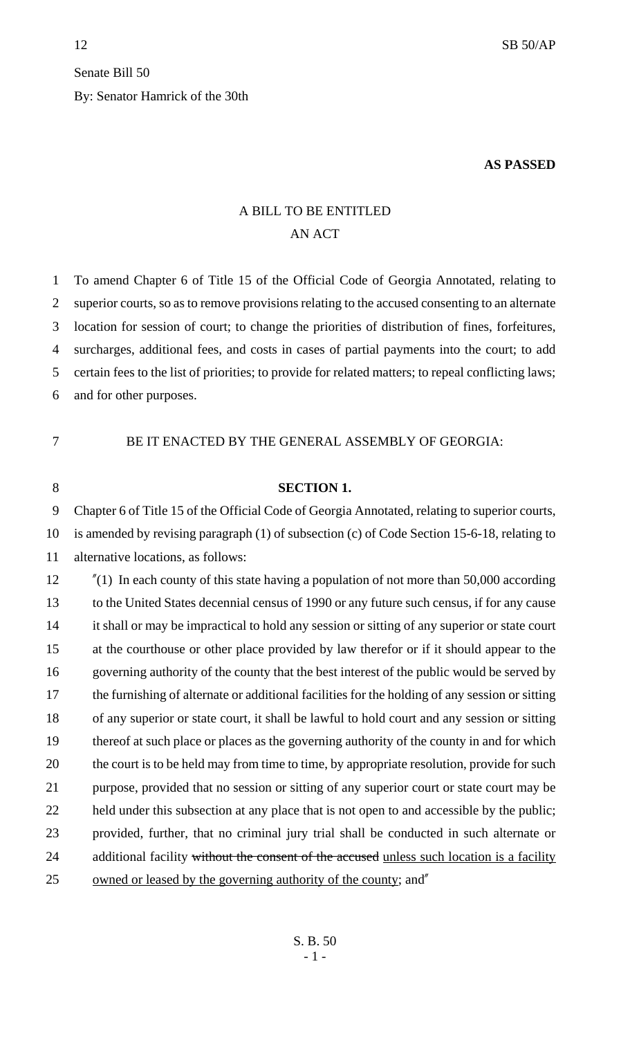## Senate Bill 50 By: Senator Hamrick of the 30th

## **AS PASSED**

## A BILL TO BE ENTITLED AN ACT

 To amend Chapter 6 of Title 15 of the Official Code of Georgia Annotated, relating to superior courts, so as to remove provisions relating to the accused consenting to an alternate location for session of court; to change the priorities of distribution of fines, forfeitures, surcharges, additional fees, and costs in cases of partial payments into the court; to add certain fees to the list of priorities; to provide for related matters; to repeal conflicting laws; and for other purposes.

BE IT ENACTED BY THE GENERAL ASSEMBLY OF GEORGIA:

## **SECTION 1.**

 Chapter 6 of Title 15 of the Official Code of Georgia Annotated, relating to superior courts, is amended by revising paragraph (1) of subsection (c) of Code Section 15-6-18, relating to alternative locations, as follows:

 "(1) In each county of this state having a population of not more than 50,000 according to the United States decennial census of 1990 or any future such census, if for any cause it shall or may be impractical to hold any session or sitting of any superior or state court at the courthouse or other place provided by law therefor or if it should appear to the governing authority of the county that the best interest of the public would be served by the furnishing of alternate or additional facilities for the holding of any session or sitting of any superior or state court, it shall be lawful to hold court and any session or sitting thereof at such place or places as the governing authority of the county in and for which 20 the court is to be held may from time to time, by appropriate resolution, provide for such purpose, provided that no session or sitting of any superior court or state court may be 22 held under this subsection at any place that is not open to and accessible by the public; provided, further, that no criminal jury trial shall be conducted in such alternate or 24 additional facility without the consent of the accused unless such location is a facility owned or leased by the governing authority of the county; and"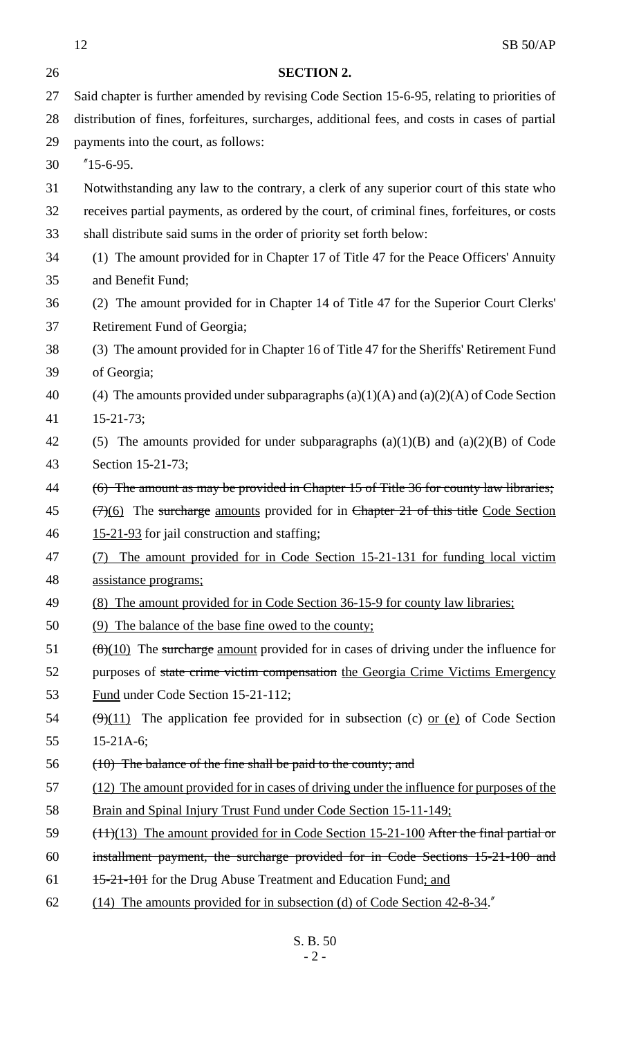12 SB 50/AP **SECTION 2.** Said chapter is further amended by revising Code Section 15-6-95, relating to priorities of distribution of fines, forfeitures, surcharges, additional fees, and costs in cases of partial payments into the court, as follows: "15-6-95. Notwithstanding any law to the contrary, a clerk of any superior court of this state who receives partial payments, as ordered by the court, of criminal fines, forfeitures, or costs shall distribute said sums in the order of priority set forth below: (1) The amount provided for in Chapter 17 of Title 47 for the Peace Officers' Annuity and Benefit Fund; (2) The amount provided for in Chapter 14 of Title 47 for the Superior Court Clerks' Retirement Fund of Georgia; (3) The amount provided for in Chapter 16 of Title 47 for the Sheriffs' Retirement Fund of Georgia; 40 (4) The amounts provided under subparagraphs  $(a)(1)(A)$  and  $(a)(2)(A)$  of Code Section 15-21-73; (5) The amounts provided for under subparagraphs (a)(1)(B) and (a)(2)(B) of Code Section 15-21-73; 44 (6) The amount as may be provided in Chapter 15 of Title 36 for county law libraries;  $(7)(6)$  The surcharge amounts provided for in Chapter 21 of this title Code Section 15-21-93 for jail construction and staffing; (7) The amount provided for in Code Section 15-21-131 for funding local victim assistance programs; (8) The amount provided for in Code Section 36-15-9 for county law libraries; (9) The balance of the base fine owed to the county;  $\left(\frac{8}{10}\right)$  The surcharge amount provided for in cases of driving under the influence for 52 purposes of state crime victim compensation the Georgia Crime Victims Emergency Fund under Code Section 15-21-112;  $(\frac{\Theta}{11})$  The application fee provided for in subsection (c) or (e) of Code Section 15-21A-6; (10) The balance of the fine shall be paid to the county; and (12) The amount provided for in cases of driving under the influence for purposes of the 58 Brain and Spinal Injury Trust Fund under Code Section 15-11-149; 59 (11)(13) The amount provided for in Code Section 15-21-100 After the final partial or installment payment, the surcharge provided for in Code Sections 15-21-100 and 61 <del>15-21-101</del> for the Drug Abuse Treatment and Education Fund; and (14) The amounts provided for in subsection (d) of Code Section 42-8-34."